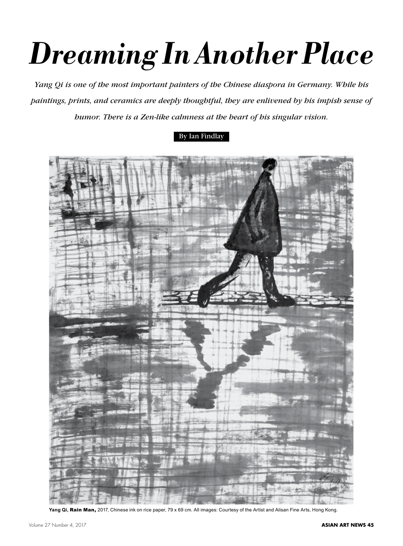## *Dreaming In Another Place*

*Yang Qi is one of the most important painters of the Chinese diaspora in Germany. While his paintings, prints, and ceramics are deeply thoughtful, they are enlivened by his impish sense of humor. There is a Zen-like calmness at the heart of his singular vision.*

## By Ian Findlay



Yang Qi, Rain Man, 2017, Chinese ink on rice paper, 79 x 69 cm. All images: Courtesy of the Artist and Alisan Fine Arts, Hong Kong.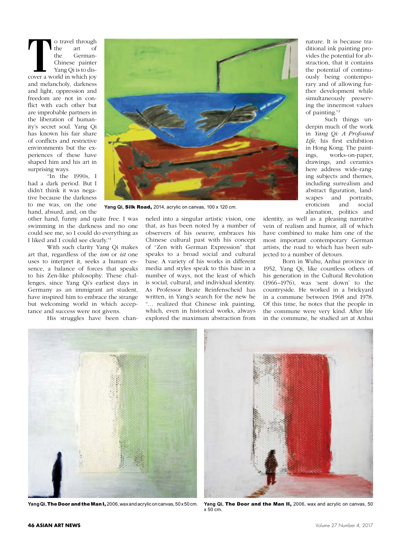To travel through<br>
the art of<br>
the German-<br>
Chinese painter<br>
Yang Qi is to discover a world in which joy the art of the German-Chinese painter Yang Qi is to disand melancholy, darkness and light, oppression and freedom are not in conflict with each other but are improbable partners in the liberation of humanity's secret soul. Yang Qi has known his fair share of conflicts and restrictive environments but the experiences of these have shaped him and his art in surprising ways.

"In the 1990s, I had a dark period. But I didn't think it was negative because the darkness to me was, on the one hand, absurd, and, on the

other hand, funny and quite free. I was swimming in the darkness and no one could see me, so I could do everything as I liked and I could see clearly."1

With such clarity Yang Qi makes art that, regardless of the *ism* or *ist* one uses to interpret it, seeks a human essence, a balance of forces that speaks to his Zen-like philosophy. These challenges, since Yang Qi's earliest days in Germany as an immigrant art student, have inspired him to embrace the strange but welcoming world in which acceptance and success were not givens.

His struggles have been chan-



Yang Qi, Silk Road, 2014, acrylic on canvas, 100 x 120 cm.

neled into a singular artistic vision, one that, as has been noted by a number of observers of his *oeuvre*, embraces his Chinese cultural past with his concept of "Zen with German Expression" that speaks to a broad social and cultural base. A variety of his works in different media and styles speak to this base in a number of ways, not the least of which is social, cultural, and individual identity. As Professor Beate Reinfenscheid has written, in Yang's search for the new he "… realized that Chinese ink painting, which, even in historical works, always explored the maximum abstraction from

nature. It is because traditional ink painting provides the potential for abstraction, that it contains the potential of continuously being contemporary and of allowing further development while simultaneously preserving the innermost values of painting."2

Such things underpin much of the work in *Yang Qi: A Profound Life*, his first exhibition in Hong Kong. The paintings, works-on-paper, drawings, and ceramics here address wide-ranging subjects and themes, including surrealism and abstract figuration, landscapes and portraits, eroticism and social alienation, politics and

identity, as well as a pleasing narrative vein of realism and humor, all of which have combined to make him one of the most important contemporary German artists, the road to which has been subjected to a number of detours.

Born in Wuhu, Anhui province in 1952, Yang Qi, like countless others of his generation in the Cultural Revolution (1966–1976), was 'sent down' to the countryside. He worked in a brickyard in a commune between 1968 and 1978. Of this time, he notes that the people in the commune were very kind. After life in the commune, he studied art at Anhui



**Yang Qi,** The Door and the Man I, 2006, wax and acrylic on canvas, 50 x 50 cm. **Yang Qi,** The Door and the Man II, 2006, wax and acrylic on canvas, 50

x 50 cm.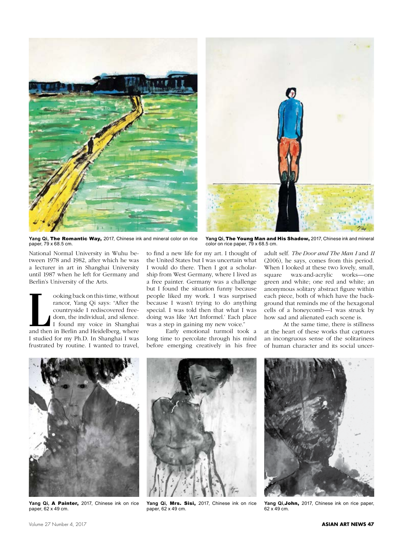

Yang Qi, The Romantic Way, 2017, Chinese ink and mineral color on rice paper, 79 x 68.5 cm.



**Yang Qi,** The Young Man and His Shadow, 2017, Chinese ink and mineral color on rice paper, 79 x 68.5 cm.

National Normal University in Wuhu between 1978 and 1982, after which he was a lecturer in art in Shanghai University until 1987 when he left for Germany and Berlin's University of the Arts.

**Looking back on this time, without rancor, Yang Qi says: "After the countryside I rediscovered freedom, the individual, and silence. I found my voice in Shanghai and then in Berlin and Heidelberg, where** rancor, Yang Qi says: "After the countryside I rediscovered freedom, the individual, and silence. I found my voice in Shanghai I studied for my Ph.D. In Shanghai I was frustrated by routine. I wanted to travel,

to find a new life for my art. I thought of the United States but I was uncertain what I would do there. Then I got a scholarship from West Germany, where I lived as a free painter. Germany was a challenge but I found the situation funny because people liked my work. I was surprised because I wasn't trying to do anything special. I was told then that what I was doing was like 'Art Informel.' Each place was a step in gaining my new voice."

Early emotional turmoil took a long time to percolate through his mind before emerging creatively in his free

adult self. *The Door and The Man I* and *II*  (2006), he says, comes from this period. When I looked at these two lovely, small, square wax-and-acrylic works—one green and white; one red and white; an anonymous solitary abstract figure within each piece, both of which have the background that reminds me of the hexagonal cells of a honeycomb—I was struck by how sad and alienated each scene is.

At the same time, there is stillness at the heart of these works that captures an incongruous sense of the solitariness of human character and its social uncer-



Yang Qi, A Painter, 2017, Chinese ink on rice paper, 62 x 49 cm.



Yang Qi. Mrs. Sisi. 2017. Chinese ink on rice paper, 62 x 49 cm.



**Yang Qi,**John, 2017, Chinese ink on rice paper, 62 x 49 cm.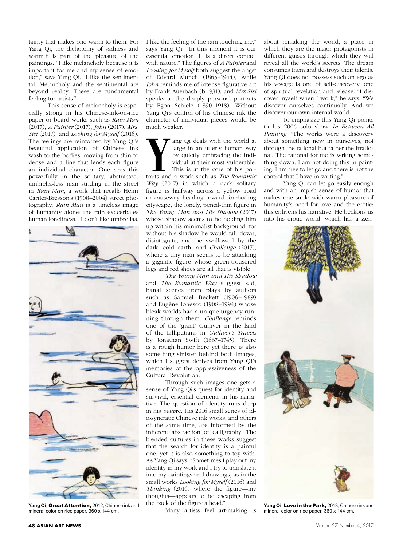tainty that makes one warm to them. For Yang Qi, the dichotomy of sadness and warmth is part of the pleasure of the paintings. "I like melancholy because it is important for me and my sense of emotion," says Yang Qi. "I like the sentimental. Melancholy and the sentimental are beyond reality. These are fundamental feeling for artists."

This sense of melancholy is especially strong in his Chinese-ink-on-rice paper or board works such as *Rain Man* (2017), *A Painter* (2017), *John* (2017), *Mrs. Sisi* (2017), and *Looking for Myself* (2016). The feelings are reinforced by Yang Qi's beautiful application of Chinese ink wash to the bodies, moving from thin to dense and a line that lends each figure an individual character. One sees this powerfully in the solitary, abstracted, umbrella-less man striding in the street in *Rain Man*, a work that recalls Henri Cartier-Bresson's (1908–2004) street photography. *Rain Man* is a timeless image of humanity alone; the rain exacerbates human loneliness. "I don't like umbrellas.



Yang Qi, Great Attention, 2012, Chinese ink and mineral color on rice paper, 360 x 144 cm.

I like the feeling of the rain touching me," says Yang Qi. "In this moment it is our essential emotion. It is a direct contact with nature." The figures of *A Painter* and *Looking for Myself* both suggest the angst of Edvard Munch (1863–1944), while *John* reminds me of intense figurative art by Frank Auerbach (b.1931), and *Mrs Sisi* speaks to the deeply personal portraits by Egon Schiele (1890–1918). Without Yang Qi's control of his Chinese ink the character of individual pieces would be much weaker.

**Y** ang Qi deals with the world at large in an utterly human way by quietly embracing the individual at their most vulnerable. This is at the core of his portraits and a work such as *The Romantic* large in an utterly human way by quietly embracing the individual at their most vulnerable. This is at the core of his por-*Way* (2017) in which a dark solitary figure is halfway across a yellow road or causeway heading toward foreboding cityscape; the lonely, pencil-thin figure in *The Young Man and His Shadow* (2017) whose shadow seems to be holding him up within his minimalist background, for without his shadow he would fall down, disintegrate, and be swallowed by the dark, cold earth, and *Challenge* (2017), where a tiny man seems to be attacking a gigantic figure whose green-trousered legs and red shoes are all that is visible.

*The Young Man and His Shadow* and *The Romantic Way* suggest sad, banal scenes from plays by authors such as Samuel Beckett (1906–1989) and Eugène Ionesco (1908–1994) whose bleak worlds had a unique urgency running through them. *Challenge* reminds one of the 'giant' Gulliver in the land of the Lilliputians in *Gulliver's Travels* by Jonathan Swift (1667–1745). There is a rough humor here yet there is also something sinister behind both images, which I suggest derives from Yang Qi's memories of the oppressiveness of the Cultural Revolution.

Through such images one gets a sense of Yang Qi's quest for identity and survival, essential elements in his narrative. The question of identity runs deep in his *oeuv*re. His 2016 small series of idiosyncratic Chinese ink works, and others of the same time, are informed by the inherent abstraction of calligraphy. The blended cultures in these works suggest that the search for identity is a painful one, yet it is also something to toy with. As Yang Qi says: "Sometimes I play out my identity in my work and I try to translate it into my paintings and drawings, as in the small works *Looking for Myself* (2016) and *Thinking* (2016) where the figure—my thoughts—appears to be escaping from the back of the figure's head."

Many artists feel art-making is

about remaking the world, a place in which they are the major protagonists in different guises through which they will reveal all the world's secrets. The dream consumes them and destroys their talents. Yang Qi does not possess such an ego as his voyage is one of self-discovery, one of spiritual revelation and release. "I discover myself when I work," he says. "We discover ourselves continually. And we discover our own internal world."

To emphasize this Yang Qi points to his 2006 solo show *In Between All Painting.* "The works were a discovery about something new in ourselves, not through the rational but rather the irrational. The rational for me is writing something down. I am not doing this in painting. I am free to let go and there is not the control that I have in writing."

Yang Qi can let go easily enough and with an impish sense of humor that makes one smile with warm pleasure of humanity's need for love and the erotic: this enlivens his narrative. He beckons us into his erotic world, which has a Zen-



Yang Qi, Love in the Park, 2013, Chinese ink and mineral color on rice paper, 360 x 144 cm.